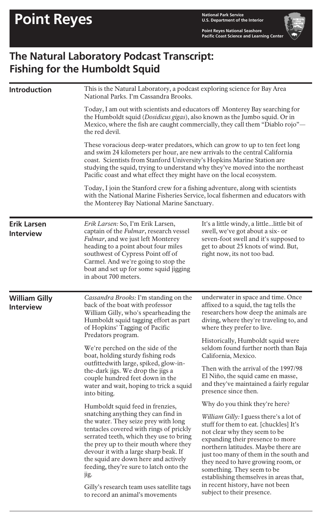**Point Reyes National Seashore Pacific Coast Science and Learning Center** 

## **The Natural Laboratory Podcast Transcript: Fishing for the Humboldt Squid**

| <b>Introduction</b>                      | This is the Natural Laboratory, a podcast exploring science for Bay Area<br>National Parks. I'm Cassandra Brooks.                                                                                                                                                                                                                                                                                                                                                                                                                                                                                                                                                                                                                                                                                                                                                                                                                             |                                                                                                                                                                                                                                                                                                                                                                                                                                                                                                                                                                                                                                                                                                                                                                                                                                                                                                               |                                                                                                                                                                                                |
|------------------------------------------|-----------------------------------------------------------------------------------------------------------------------------------------------------------------------------------------------------------------------------------------------------------------------------------------------------------------------------------------------------------------------------------------------------------------------------------------------------------------------------------------------------------------------------------------------------------------------------------------------------------------------------------------------------------------------------------------------------------------------------------------------------------------------------------------------------------------------------------------------------------------------------------------------------------------------------------------------|---------------------------------------------------------------------------------------------------------------------------------------------------------------------------------------------------------------------------------------------------------------------------------------------------------------------------------------------------------------------------------------------------------------------------------------------------------------------------------------------------------------------------------------------------------------------------------------------------------------------------------------------------------------------------------------------------------------------------------------------------------------------------------------------------------------------------------------------------------------------------------------------------------------|------------------------------------------------------------------------------------------------------------------------------------------------------------------------------------------------|
|                                          | Today, I am out with scientists and educators off Monterey Bay searching for<br>the Humboldt squid ( <i>Dosidicus gigas</i> ), also known as the Jumbo squid. Or in<br>Mexico, where the fish are caught commercially, they call them "Diablo rojo"-<br>the red devil.<br>These voracious deep-water predators, which can grow to up to ten feet long<br>and swim 24 kilometers per hour, are new arrivals to the central California<br>coast. Scientists from Stanford University's Hopkins Marine Station are<br>studying the squid, trying to understand why they've moved into the northeast<br>Pacific coast and what effect they might have on the local ecosystem.                                                                                                                                                                                                                                                                     |                                                                                                                                                                                                                                                                                                                                                                                                                                                                                                                                                                                                                                                                                                                                                                                                                                                                                                               |                                                                                                                                                                                                |
|                                          |                                                                                                                                                                                                                                                                                                                                                                                                                                                                                                                                                                                                                                                                                                                                                                                                                                                                                                                                               |                                                                                                                                                                                                                                                                                                                                                                                                                                                                                                                                                                                                                                                                                                                                                                                                                                                                                                               |                                                                                                                                                                                                |
|                                          | <b>Erik Larsen</b><br><b>Interview</b>                                                                                                                                                                                                                                                                                                                                                                                                                                                                                                                                                                                                                                                                                                                                                                                                                                                                                                        | Erik Larsen: So, I'm Erik Larsen,<br>captain of the <i>Fulmar</i> , research vessel<br>Fulmar, and we just left Monterey<br>heading to a point about four miles<br>southwest of Cypress Point off of<br>Carmel. And we're going to stop the<br>boat and set up for some squid jigging<br>in about 700 meters.                                                                                                                                                                                                                                                                                                                                                                                                                                                                                                                                                                                                 | It's a little windy, a little little bit of<br>swell, we've got about a six- or<br>seven-foot swell and it's supposed to<br>get to about 25 knots of wind. But,<br>right now, its not too bad. |
| <b>William Gilly</b><br><b>Interview</b> | Cassandra Brooks: I'm standing on the<br>back of the boat with professor<br>William Gilly, who's spearheading the<br>Humboldt squid tagging effort as part<br>of Hopkins' Tagging of Pacific<br>Predators program.<br>We're perched on the side of the<br>boat, holding sturdy fishing rods<br>outfittedwith large, spiked, glow-in-<br>the-dark jigs. We drop the jigs a<br>couple hundred feet down in the<br>water and wait, hoping to trick a squid<br>into biting.<br>Humboldt squid feed in frenzies,<br>snatching anything they can find in<br>the water. They seize prey with long<br>tentacles covered with rings of prickly<br>serrated teeth, which they use to bring<br>the prey up to their mouth where they<br>devour it with a large sharp beak. If<br>the squid are down here and actively<br>feeding, they're sure to latch onto the<br>jig.<br>Gilly's research team uses satellite tags<br>to record an animal's movements | underwater in space and time. Once<br>affixed to a squid, the tag tells the<br>researchers how deep the animals are<br>diving, where they're traveling to, and<br>where they prefer to live.<br>Historically, Humboldt squid were<br>seldom found further north than Baja<br>California, Mexico.<br>Then with the arrival of the 1997/98<br>El Niño, the squid came en masse,<br>and they've maintained a fairly regular<br>presence since then.<br>Why do you think they're here?<br>William Gilly: I guess there's a lot of<br>stuff for them to eat. [chuckles] It's<br>not clear why they seem to be<br>expanding their presence to more<br>northern latitudes. Maybe there are<br>just too many of them in the south and<br>they need to have growing room, or<br>something. They seem to be<br>establishing themselves in areas that,<br>in recent history, have not been<br>subject to their presence. |                                                                                                                                                                                                |